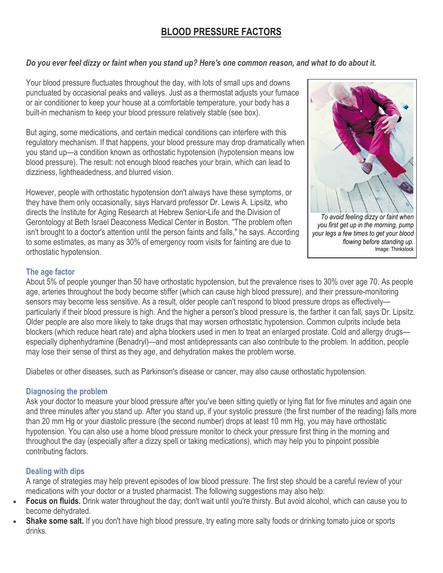# **BLOOD PRESSURE FACTORS**

## *Do you ever feel dizzy or faint when you stand up? Here's one common reason, and what to do about it.*

Your blood pressure fluctuates throughout the day, with lots of small ups and downs punctuated by occasional peaks and valleys. Just as a thermostat adjusts your furnace or air conditioner to keep your house at a comfortable temperature, your body has a built-in mechanism to keep your blood pressure relatively stable (see box).

But aging, some medications, and certain medical conditions can interfere with this regulatory mechanism. If that happens, your blood pressure may drop dramatically when you stand up—a condition known as orthostatic hypotension (hypotension means low blood pressure). The result: not enough blood reaches your brain, which can lead to dizziness, lightheadedness, and blurred vision.

However, people with orthostatic hypotension don't always have these symptoms, or they have them only occasionally, says Harvard professor Dr. Lewis A. Lipsitz, who directs the Institute for Aging Research at Hebrew Senior-Life and the Division of Gerontology at Beth Israel Deaconess Medical Center in Boston. "The problem often isn't brought to a doctor's attention until the person faints and falls," he says. According to some estimates, as many as 30% of emergency room visits for fainting are due to orthostatic hypotension.



*To avoid feeling dizzy or faint when you first get up in the morning, pump your legs a few times to get your blood flowing before standing up.* Image: Thinkstock

### **The age factor**

About 5% of people younger than 50 have orthostatic hypotension, but the prevalence rises to 30% over age 70. As people age, arteries throughout the body become stiffer (which can cause high blood pressure), and their pressure-monitoring sensors may become less sensitive. As a result, older people can't respond to blood pressure drops as effectivelyparticularly if their blood pressure is high. And the higher a person's blood pressure is, the farther it can fall, says Dr. Lipsitz. Older people are also more likely to take drugs that may worsen orthostatic hypotension. Common culprits include beta blockers (which reduce heart rate) and alpha blockers used in men to treat an enlarged prostate. Cold and allergy drugs especially diphenhydramine (Benadryl)—and most antidepressants can also contribute to the problem. In addition, people may lose their sense of thirst as they age, and dehydration makes the problem worse.

Diabetes or other diseases, such as Parkinson's disease or cancer, may also cause orthostatic hypotension.

### **Diagnosing the problem**

Ask your doctor to measure your blood pressure after you've been sitting quietly or lying flat for five minutes and again one and three minutes after you stand up. After you stand up, if your systolic pressure (the first number of the reading) falls more than 20 mm Hg or your diastolic pressure (the second number) drops at least 10 mm Hg, you may have orthostatic hypotension. You can also use a home blood pressure monitor to check your pressure first thing in the morning and throughout the day (especially after a dizzy spell or taking medications), which may help you to pinpoint possible contributing factors.

## **Dealing with dips**

A range of strategies may help prevent episodes of low blood pressure. The first step should be a careful review of your medications with your doctor or a trusted pharmacist. The following suggestions may also help:

- **Focus on fluids.** Drink water throughout the day; don't wait until you're thirsty. But avoid alcohol, which can cause you to become dehydrated.
- **Shake some salt.** If you don't have high blood pressure, try eating more salty foods or drinking tomato juice or sports drinks.